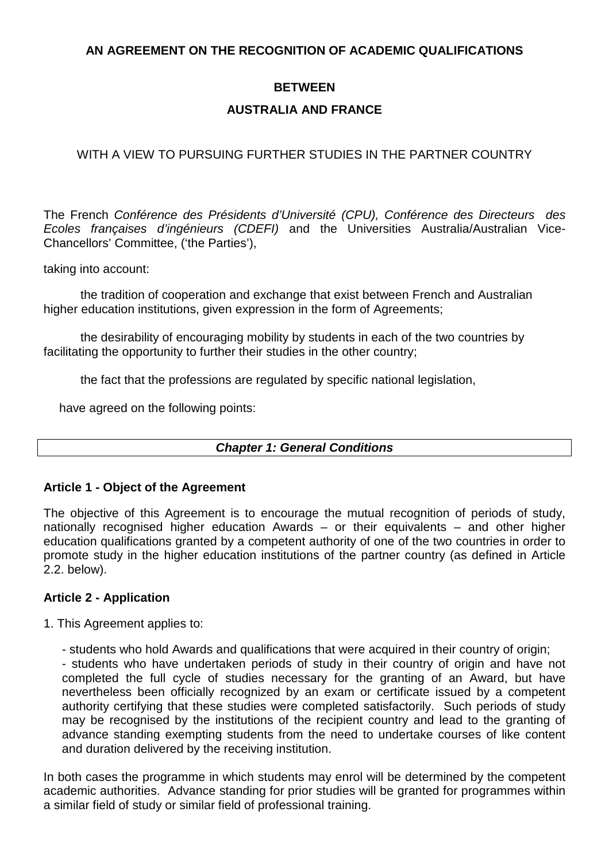# **AN AGREEMENT ON THE RECOGNITION OF ACADEMIC QUALIFICATIONS**

# **BETWEEN**

# **AUSTRALIA AND FRANCE**

# WITH A VIEW TO PURSUING FURTHER STUDIES IN THE PARTNER COUNTRY

The French Conférence des Présidents d'Université (CPU), Conférence des Directeurs des Ecoles françaises d'ingénieurs (CDEFI) and the Universities Australia/Australian Vice-Chancellors' Committee, ('the Parties'),

taking into account:

 the tradition of cooperation and exchange that exist between French and Australian higher education institutions, given expression in the form of Agreements;

 the desirability of encouraging mobility by students in each of the two countries by facilitating the opportunity to further their studies in the other country;

the fact that the professions are regulated by specific national legislation,

have agreed on the following points:

# **Chapter 1: General Conditions**

# **Article 1 - Object of the Agreement**

The objective of this Agreement is to encourage the mutual recognition of periods of study, nationally recognised higher education Awards – or their equivalents – and other higher education qualifications granted by a competent authority of one of the two countries in order to promote study in the higher education institutions of the partner country (as defined in Article 2.2. below).

# **Article 2 - Application**

1. This Agreement applies to:

- students who hold Awards and qualifications that were acquired in their country of origin;

- students who have undertaken periods of study in their country of origin and have not completed the full cycle of studies necessary for the granting of an Award, but have nevertheless been officially recognized by an exam or certificate issued by a competent authority certifying that these studies were completed satisfactorily. Such periods of study may be recognised by the institutions of the recipient country and lead to the granting of advance standing exempting students from the need to undertake courses of like content and duration delivered by the receiving institution.

In both cases the programme in which students may enrol will be determined by the competent academic authorities. Advance standing for prior studies will be granted for programmes within a similar field of study or similar field of professional training.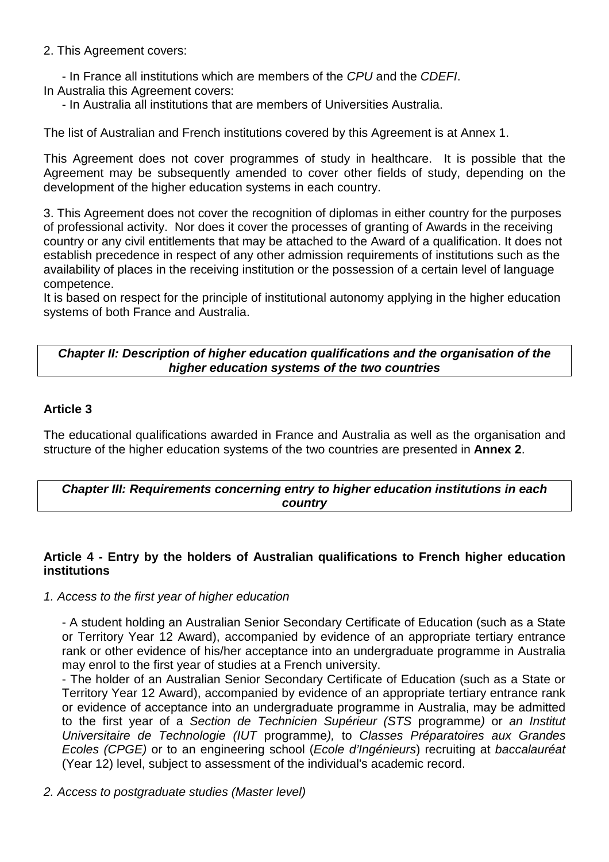2. This Agreement covers:

- In France all institutions which are members of the CPU and the CDEFI. In Australia this Agreement covers:

- In Australia all institutions that are members of Universities Australia.

The list of Australian and French institutions covered by this Agreement is at Annex 1.

This Agreement does not cover programmes of study in healthcare. It is possible that the Agreement may be subsequently amended to cover other fields of study, depending on the development of the higher education systems in each country.

3. This Agreement does not cover the recognition of diplomas in either country for the purposes of professional activity. Nor does it cover the processes of granting of Awards in the receiving country or any civil entitlements that may be attached to the Award of a qualification. It does not establish precedence in respect of any other admission requirements of institutions such as the availability of places in the receiving institution or the possession of a certain level of language competence.

It is based on respect for the principle of institutional autonomy applying in the higher education systems of both France and Australia.

# **Chapter II: Description of higher education qualifications and the organisation of the higher education systems of the two countries**

# **Article 3**

The educational qualifications awarded in France and Australia as well as the organisation and structure of the higher education systems of the two countries are presented in **Annex 2**.

# **Chapter III: Requirements concerning entry to higher education institutions in each country**

# **Article 4 - Entry by the holders of Australian qualifications to French higher education institutions**

#### 1. Access to the first year of higher education

- A student holding an Australian Senior Secondary Certificate of Education (such as a State or Territory Year 12 Award), accompanied by evidence of an appropriate tertiary entrance rank or other evidence of his/her acceptance into an undergraduate programme in Australia may enrol to the first year of studies at a French university.

- The holder of an Australian Senior Secondary Certificate of Education (such as a State or Territory Year 12 Award), accompanied by evidence of an appropriate tertiary entrance rank or evidence of acceptance into an undergraduate programme in Australia, may be admitted to the first year of a Section de Technicien Supérieur (STS programme) or an Institut Universitaire de Technologie (IUT programme), to Classes Préparatoires aux Grandes Ecoles (CPGE) or to an engineering school (Ecole d'Ingénieurs) recruiting at baccalauréat (Year 12) level, subject to assessment of the individual's academic record.

2. Access to postgraduate studies (Master level)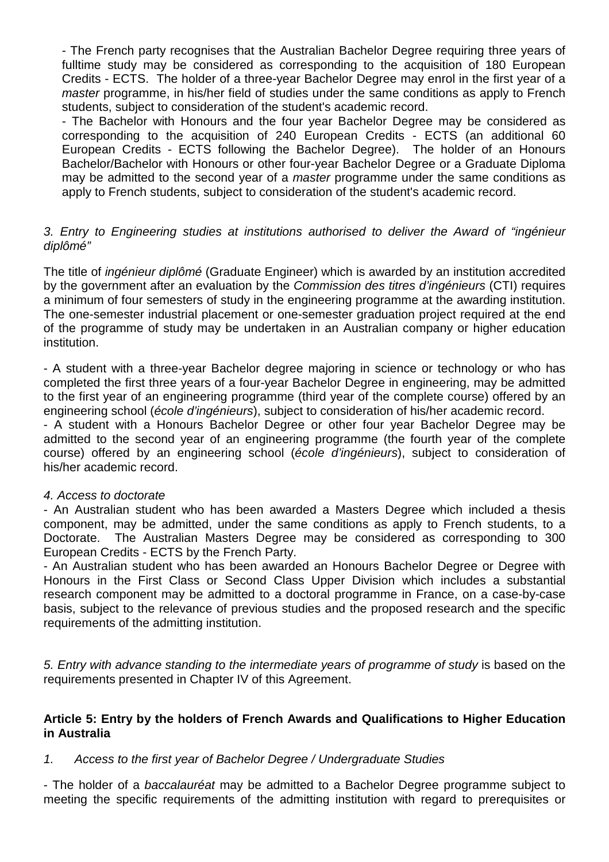- The French party recognises that the Australian Bachelor Degree requiring three years of fulltime study may be considered as corresponding to the acquisition of 180 European Credits - ECTS. The holder of a three-year Bachelor Degree may enrol in the first year of a master programme, in his/her field of studies under the same conditions as apply to French students, subject to consideration of the student's academic record.

- The Bachelor with Honours and the four year Bachelor Degree may be considered as corresponding to the acquisition of 240 European Credits - ECTS (an additional 60 European Credits - ECTS following the Bachelor Degree). The holder of an Honours Bachelor/Bachelor with Honours or other four-year Bachelor Degree or a Graduate Diploma may be admitted to the second year of a *master* programme under the same conditions as apply to French students, subject to consideration of the student's academic record.

# 3. Entry to Engineering studies at institutions authorised to deliver the Award of "ingénieur diplômé"

The title of ingénieur diplômé (Graduate Engineer) which is awarded by an institution accredited by the government after an evaluation by the Commission des titres d'ingénieurs (CTI) requires a minimum of four semesters of study in the engineering programme at the awarding institution. The one-semester industrial placement or one-semester graduation project required at the end of the programme of study may be undertaken in an Australian company or higher education institution.

- A student with a three-year Bachelor degree majoring in science or technology or who has completed the first three years of a four-year Bachelor Degree in engineering, may be admitted to the first year of an engineering programme (third year of the complete course) offered by an engineering school (école d'ingénieurs), subject to consideration of his/her academic record.

- A student with a Honours Bachelor Degree or other four year Bachelor Degree may be admitted to the second year of an engineering programme (the fourth year of the complete course) offered by an engineering school (école d'ingénieurs), subject to consideration of his/her academic record.

# 4. Access to doctorate

- An Australian student who has been awarded a Masters Degree which included a thesis component, may be admitted, under the same conditions as apply to French students, to a Doctorate. The Australian Masters Degree may be considered as corresponding to 300 European Credits - ECTS by the French Party.

- An Australian student who has been awarded an Honours Bachelor Degree or Degree with Honours in the First Class or Second Class Upper Division which includes a substantial research component may be admitted to a doctoral programme in France, on a case-by-case basis, subject to the relevance of previous studies and the proposed research and the specific requirements of the admitting institution.

5. Entry with advance standing to the intermediate years of programme of study is based on the requirements presented in Chapter IV of this Agreement.

# **Article 5: Entry by the holders of French Awards and Qualifications to Higher Education in Australia**

# 1. Access to the first year of Bachelor Degree / Undergraduate Studies

- The holder of a baccalauréat may be admitted to a Bachelor Degree programme subject to meeting the specific requirements of the admitting institution with regard to prerequisites or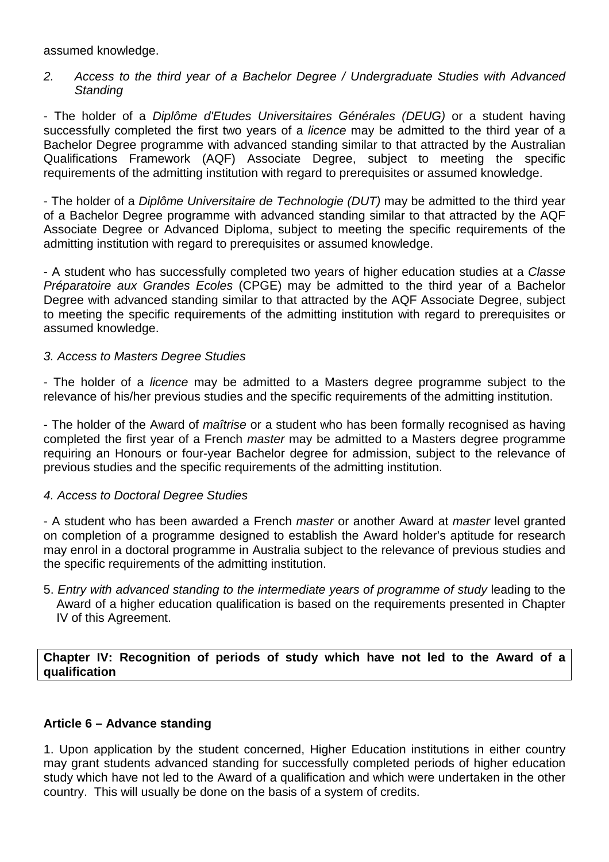assumed knowledge.

# 2. Access to the third year of a Bachelor Degree / Undergraduate Studies with Advanced **Standing**

- The holder of a Diplôme d'Etudes Universitaires Générales (DEUG) or a student having successfully completed the first two years of a *licence* may be admitted to the third year of a Bachelor Degree programme with advanced standing similar to that attracted by the Australian Qualifications Framework (AQF) Associate Degree, subject to meeting the specific requirements of the admitting institution with regard to prerequisites or assumed knowledge.

- The holder of a Diplôme Universitaire de Technologie (DUT) may be admitted to the third year of a Bachelor Degree programme with advanced standing similar to that attracted by the AQF Associate Degree or Advanced Diploma, subject to meeting the specific requirements of the admitting institution with regard to prerequisites or assumed knowledge.

- A student who has successfully completed two years of higher education studies at a Classe Préparatoire aux Grandes Ecoles (CPGE) may be admitted to the third year of a Bachelor Degree with advanced standing similar to that attracted by the AQF Associate Degree, subject to meeting the specific requirements of the admitting institution with regard to prerequisites or assumed knowledge.

# 3. Access to Masters Degree Studies

- The holder of a licence may be admitted to a Masters degree programme subject to the relevance of his/her previous studies and the specific requirements of the admitting institution.

- The holder of the Award of *maîtrise* or a student who has been formally recognised as having completed the first year of a French master may be admitted to a Masters degree programme requiring an Honours or four-year Bachelor degree for admission, subject to the relevance of previous studies and the specific requirements of the admitting institution.

# 4. Access to Doctoral Degree Studies

- A student who has been awarded a French master or another Award at master level granted on completion of a programme designed to establish the Award holder's aptitude for research may enrol in a doctoral programme in Australia subject to the relevance of previous studies and the specific requirements of the admitting institution.

5. Entry with advanced standing to the intermediate years of programme of study leading to the Award of a higher education qualification is based on the requirements presented in Chapter IV of this Agreement.

# **Chapter IV: Recognition of periods of study which have not led to the Award of a qualification**

# **Article 6 – Advance standing**

1. Upon application by the student concerned, Higher Education institutions in either country may grant students advanced standing for successfully completed periods of higher education study which have not led to the Award of a qualification and which were undertaken in the other country. This will usually be done on the basis of a system of credits.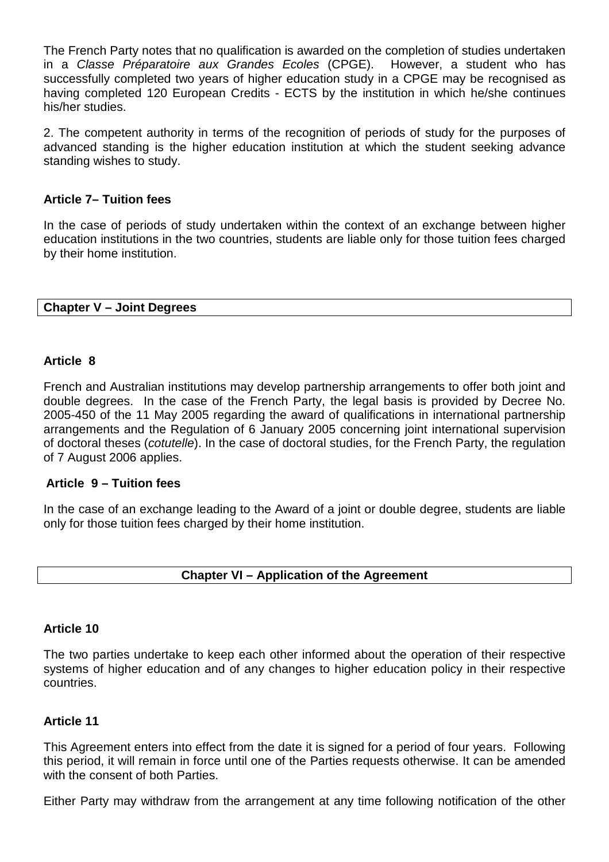The French Party notes that no qualification is awarded on the completion of studies undertaken in a Classe Préparatoire aux Grandes Ecoles (CPGE). However, a student who has successfully completed two years of higher education study in a CPGE may be recognised as having completed 120 European Credits - ECTS by the institution in which he/she continues his/her studies.

2. The competent authority in terms of the recognition of periods of study for the purposes of advanced standing is the higher education institution at which the student seeking advance standing wishes to study.

# **Article 7– Tuition fees**

In the case of periods of study undertaken within the context of an exchange between higher education institutions in the two countries, students are liable only for those tuition fees charged by their home institution.

# **Chapter V – Joint Degrees**

# **Article 8**

French and Australian institutions may develop partnership arrangements to offer both joint and double degrees. In the case of the French Party, the legal basis is provided by Decree No. 2005-450 of the 11 May 2005 regarding the award of qualifications in international partnership arrangements and the Regulation of 6 January 2005 concerning joint international supervision of doctoral theses (cotutelle). In the case of doctoral studies, for the French Party, the regulation of 7 August 2006 applies.

# **Article 9 – Tuition fees**

In the case of an exchange leading to the Award of a joint or double degree, students are liable only for those tuition fees charged by their home institution.

# **Chapter VI – Application of the Agreement**

# **Article 10**

The two parties undertake to keep each other informed about the operation of their respective systems of higher education and of any changes to higher education policy in their respective countries.

# **Article 11**

This Agreement enters into effect from the date it is signed for a period of four years. Following this period, it will remain in force until one of the Parties requests otherwise. It can be amended with the consent of both Parties.

Either Party may withdraw from the arrangement at any time following notification of the other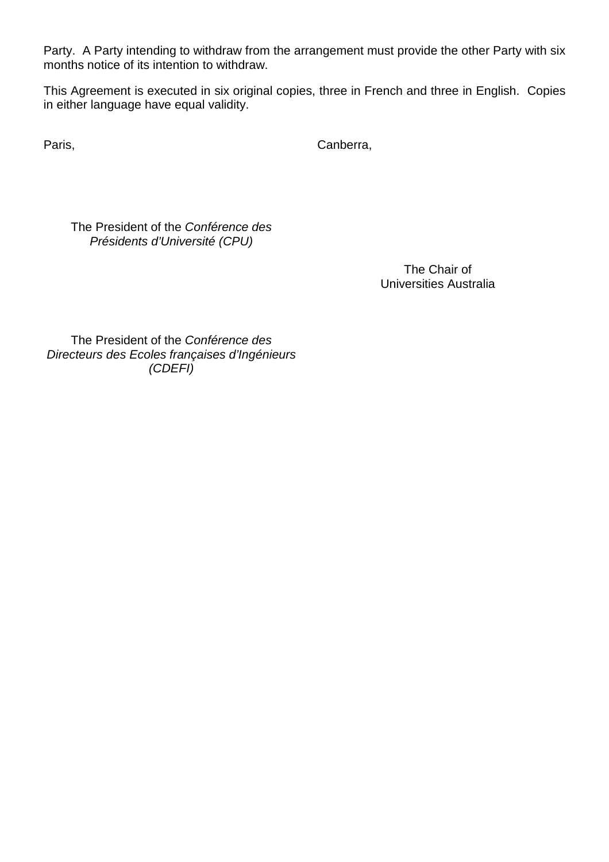Party. A Party intending to withdraw from the arrangement must provide the other Party with six months notice of its intention to withdraw.

This Agreement is executed in six original copies, three in French and three in English. Copies in either language have equal validity.

Paris, Canberra, Canberra, Canberra,

The President of the Conférence des Présidents d'Université (CPU)

> The Chair of Universities Australia

The President of the Conférence des Directeurs des Ecoles françaises d'Ingénieurs (CDEFI)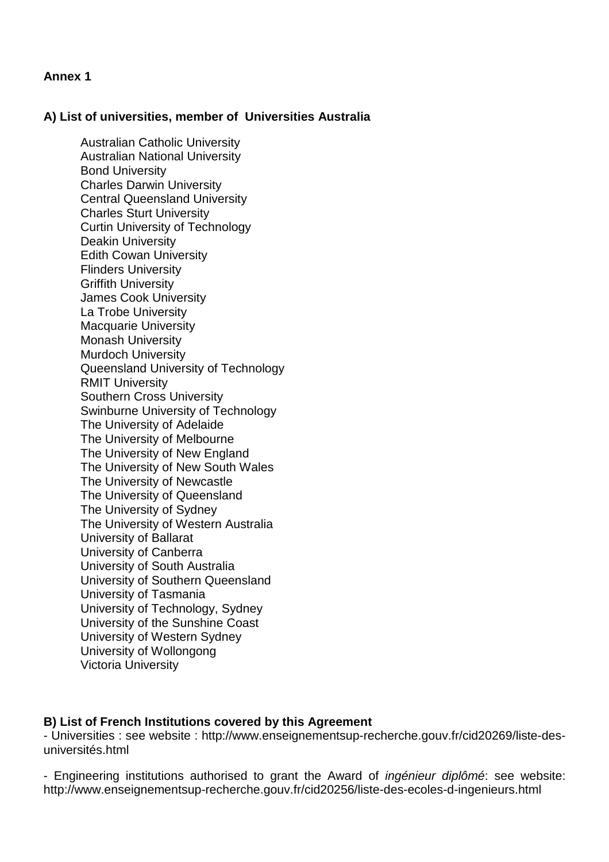# **Annex 1**

# **A) List of universities, member of Universities Australia**

 Australian Catholic University Australian National University Bond University Charles Darwin University Central Queensland University Charles Sturt University Curtin University of Technology Deakin University Edith Cowan University Flinders University Griffith University James Cook University La Trobe University Macquarie University Monash University Murdoch University Queensland University of Technology RMIT University Southern Cross University Swinburne University of Technology The University of Adelaide The University of Melbourne The University of New England The University of New South Wales The University of Newcastle The University of Queensland The University of Sydney The University of Western Australia University of Ballarat University of Canberra University of South Australia University of Southern Queensland University of Tasmania University of Technology, Sydney University of the Sunshine Coast University of Western Sydney University of Wollongong Victoria University

# **B) List of French Institutions covered by this Agreement**

- Universities : see website : http://www.enseignementsup-recherche.gouv.fr/cid20269/liste-desuniversités.html

- Engineering institutions authorised to grant the Award of ingénieur diplômé: see website: http://www.enseignementsup-recherche.gouv.fr/cid20256/liste-des-ecoles-d-ingenieurs.html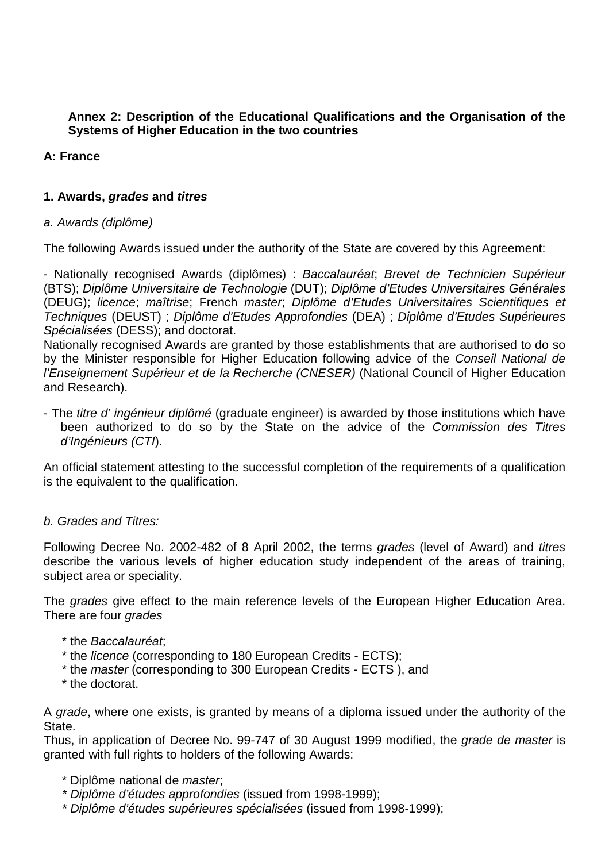# **Annex 2: Description of the Educational Qualifications and the Organisation of the Systems of Higher Education in the two countries**

# **A: France**

# **1. Awards, grades and titres**

# a. Awards (diplôme)

The following Awards issued under the authority of the State are covered by this Agreement:

- Nationally recognised Awards (diplômes) : Baccalauréat; Brevet de Technicien Supérieur (BTS); Diplôme Universitaire de Technologie (DUT); Diplôme d'Etudes Universitaires Générales (DEUG); licence; maîtrise; French master; Diplôme d'Etudes Universitaires Scientifiques et Techniques (DEUST) ; Diplôme d'Etudes Approfondies (DEA) ; Diplôme d'Etudes Supérieures Spécialisées (DESS); and doctorat.

Nationally recognised Awards are granted by those establishments that are authorised to do so by the Minister responsible for Higher Education following advice of the Conseil National de l'Enseignement Supérieur et de la Recherche (CNESER) (National Council of Higher Education and Research).

- The *titre d' ingénieur diplômé* (graduate engineer) is awarded by those institutions which have been authorized to do so by the State on the advice of the Commission des Titres d'Ingénieurs (CTI).

An official statement attesting to the successful completion of the requirements of a qualification is the equivalent to the qualification.

# b. Grades and Titres:

Following Decree No. 2002-482 of 8 April 2002, the terms grades (level of Award) and titres describe the various levels of higher education study independent of the areas of training, subject area or speciality.

The grades give effect to the main reference levels of the European Higher Education Area. There are four *grades* 

- \* the Baccalauréat;
- \* the licence (corresponding to 180 European Credits ECTS);
- \* the master (corresponding to 300 European Credits ECTS ), and
- \* the doctorat.

A grade, where one exists, is granted by means of a diploma issued under the authority of the State.

Thus, in application of Decree No. 99-747 of 30 August 1999 modified, the grade de master is granted with full rights to holders of the following Awards:

- \* Diplôme national de master;
- \* Diplôme d'études approfondies (issued from 1998-1999);
- \* Diplôme d'études supérieures spécialisées (issued from 1998-1999);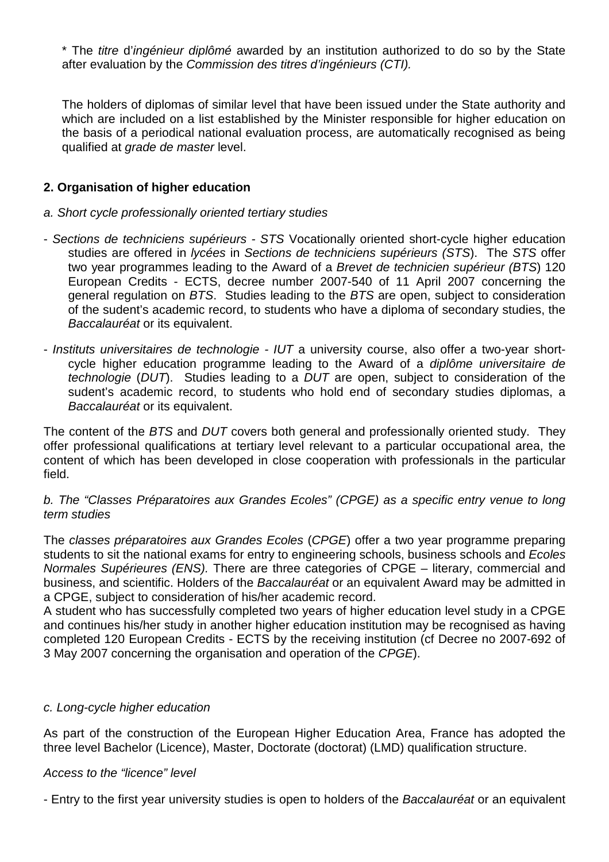\* The titre d'ingénieur diplômé awarded by an institution authorized to do so by the State after evaluation by the Commission des titres d'ingénieurs (CTI).

The holders of diplomas of similar level that have been issued under the State authority and which are included on a list established by the Minister responsible for higher education on the basis of a periodical national evaluation process, are automatically recognised as being qualified at grade de master level.

# **2. Organisation of higher education**

# a. Short cycle professionally oriented tertiary studies

- Sections de techniciens supérieurs STS Vocationally oriented short-cycle higher education studies are offered in *lycées* in Sections de techniciens supérieurs (STS). The STS offer two year programmes leading to the Award of a Brevet de technicien supérieur (BTS) 120 European Credits - ECTS, decree number 2007-540 of 11 April 2007 concerning the general regulation on BTS. Studies leading to the BTS are open, subject to consideration of the sudent's academic record, to students who have a diploma of secondary studies, the Baccalauréat or its equivalent.
- Instituts universitaires de technologie IUT a university course, also offer a two-year shortcycle higher education programme leading to the Award of a diplôme universitaire de technologie (DUT). Studies leading to a DUT are open, subject to consideration of the sudent's academic record, to students who hold end of secondary studies diplomas, a Baccalauréat or its equivalent.

The content of the BTS and DUT covers both general and professionally oriented study. They offer professional qualifications at tertiary level relevant to a particular occupational area, the content of which has been developed in close cooperation with professionals in the particular field.

# b. The "Classes Préparatoires aux Grandes Ecoles" (CPGE) as a specific entry venue to long term studies

The classes préparatoires aux Grandes Ecoles (CPGE) offer a two year programme preparing students to sit the national exams for entry to engineering schools, business schools and Ecoles Normales Supérieures (ENS). There are three categories of CPGE – literary, commercial and business, and scientific. Holders of the Baccalauréat or an equivalent Award may be admitted in a CPGE, subject to consideration of his/her academic record.

A student who has successfully completed two years of higher education level study in a CPGE and continues his/her study in another higher education institution may be recognised as having completed 120 European Credits - ECTS by the receiving institution (cf Decree no 2007-692 of 3 May 2007 concerning the organisation and operation of the CPGE).

# c. Long-cycle higher education

As part of the construction of the European Higher Education Area, France has adopted the three level Bachelor (Licence), Master, Doctorate (doctorat) (LMD) qualification structure.

#### Access to the "licence" level

- Entry to the first year university studies is open to holders of the Baccalauréat or an equivalent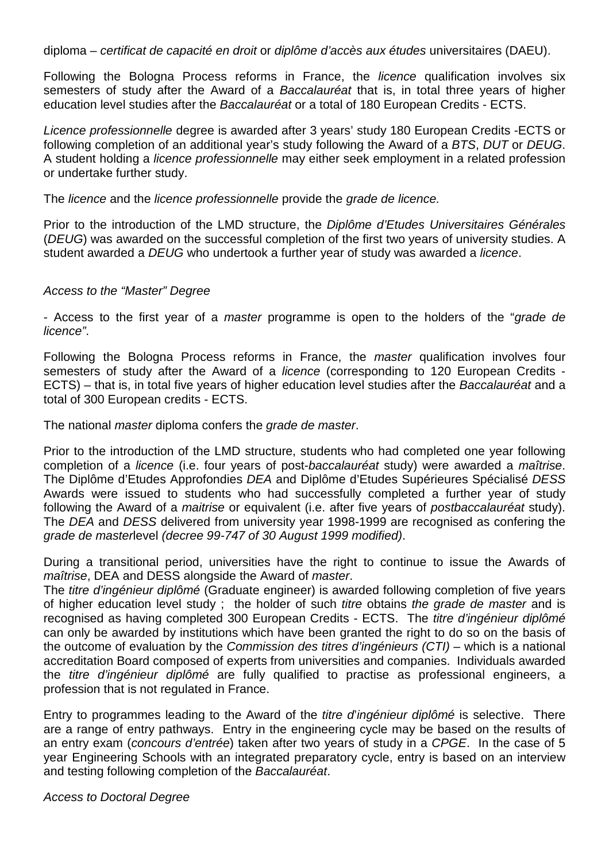diploma – certificat de capacité en droit or diplôme d'accès aux études universitaires (DAEU).

Following the Bologna Process reforms in France, the *licence* qualification involves six semesters of study after the Award of a Baccalauréat that is, in total three years of higher education level studies after the Baccalauréat or a total of 180 European Credits - ECTS.

Licence professionnelle degree is awarded after 3 years' study 180 European Credits -ECTS or following completion of an additional year's study following the Award of a BTS, DUT or DEUG. A student holding a licence professionnelle may either seek employment in a related profession or undertake further study.

The licence and the licence professionnelle provide the grade de licence.

Prior to the introduction of the LMD structure, the Diplôme d'Etudes Universitaires Générales (DEUG) was awarded on the successful completion of the first two years of university studies. A student awarded a DEUG who undertook a further year of study was awarded a licence.

#### Access to the "Master" Degree

- Access to the first year of a *master* programme is open to the holders of the "grade de licence".

Following the Bologna Process reforms in France, the *master* qualification involves four semesters of study after the Award of a licence (corresponding to 120 European Credits - ECTS) – that is, in total five years of higher education level studies after the Baccalauréat and a total of 300 European credits - ECTS.

The national *master* diploma confers the *grade de master*.

Prior to the introduction of the LMD structure, students who had completed one year following completion of a licence (i.e. four years of post-baccalauréat study) were awarded a maîtrise. The Diplôme d'Etudes Approfondies DEA and Diplôme d'Etudes Supérieures Spécialisé DESS Awards were issued to students who had successfully completed a further year of study following the Award of a *maitrise* or equivalent (i.e. after five years of *postbaccalauréat* study). The DEA and DESS delivered from university year 1998-1999 are recognised as confering the grade de masterlevel (decree 99-747 of 30 August 1999 modified).

During a transitional period, universities have the right to continue to issue the Awards of maîtrise, DEA and DESS alongside the Award of master.

The titre d'ingénieur diplômé (Graduate engineer) is awarded following completion of five years of higher education level study; the holder of such titre obtains the grade de master and is recognised as having completed 300 European Credits - ECTS. The titre d'ingénieur diplômé can only be awarded by institutions which have been granted the right to do so on the basis of the outcome of evaluation by the *Commission des titres d'ingénieurs (CTI)* – which is a national accreditation Board composed of experts from universities and companies. Individuals awarded the titre d'ingénieur diplômé are fully qualified to practise as professional engineers, a profession that is not regulated in France.

Entry to programmes leading to the Award of the *titre d'ingénieur diplômé* is selective. There are a range of entry pathways. Entry in the engineering cycle may be based on the results of an entry exam (concours d'entrée) taken after two years of study in a CPGE. In the case of 5 year Engineering Schools with an integrated preparatory cycle, entry is based on an interview and testing following completion of the Baccalauréat.

Access to Doctoral Degree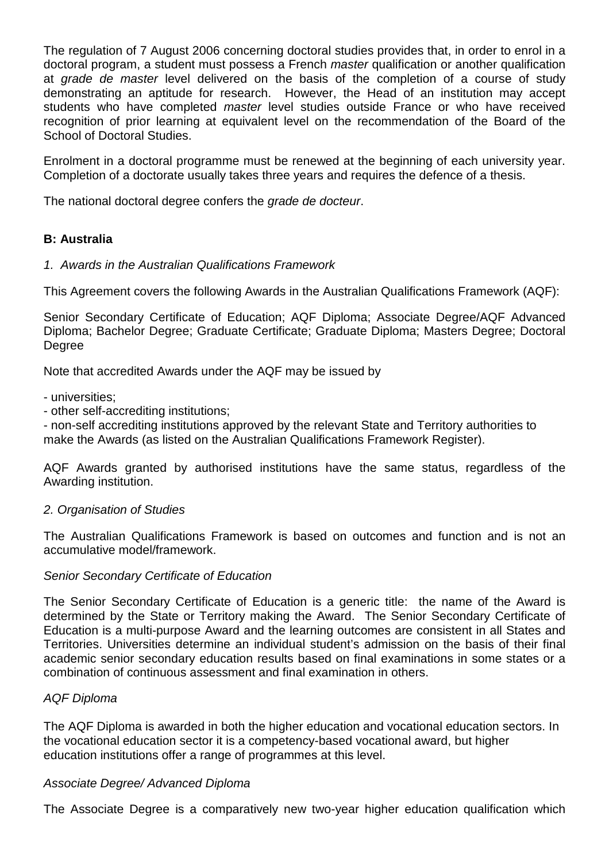The regulation of 7 August 2006 concerning doctoral studies provides that, in order to enrol in a doctoral program, a student must possess a French *master* qualification or another qualification at grade de master level delivered on the basis of the completion of a course of study demonstrating an aptitude for research. However, the Head of an institution may accept students who have completed master level studies outside France or who have received recognition of prior learning at equivalent level on the recommendation of the Board of the School of Doctoral Studies.

Enrolment in a doctoral programme must be renewed at the beginning of each university year. Completion of a doctorate usually takes three years and requires the defence of a thesis.

The national doctoral degree confers the grade de docteur.

# **B: Australia**

#### 1. Awards in the Australian Qualifications Framework

This Agreement covers the following Awards in the Australian Qualifications Framework (AQF):

Senior Secondary Certificate of Education; AQF Diploma; Associate Degree/AQF Advanced Diploma; Bachelor Degree; Graduate Certificate; Graduate Diploma; Masters Degree; Doctoral Degree

Note that accredited Awards under the AQF may be issued by

- universities;

- other self-accrediting institutions;

- non-self accrediting institutions approved by the relevant State and Territory authorities to make the Awards (as listed on the Australian Qualifications Framework Register).

AQF Awards granted by authorised institutions have the same status, regardless of the Awarding institution.

#### 2. Organisation of Studies

The Australian Qualifications Framework is based on outcomes and function and is not an accumulative model/framework.

#### Senior Secondary Certificate of Education

The Senior Secondary Certificate of Education is a generic title: the name of the Award is determined by the State or Territory making the Award. The Senior Secondary Certificate of Education is a multi-purpose Award and the learning outcomes are consistent in all States and Territories. Universities determine an individual student's admission on the basis of their final academic senior secondary education results based on final examinations in some states or a combination of continuous assessment and final examination in others.

# AQF Diploma

The AQF Diploma is awarded in both the higher education and vocational education sectors. In the vocational education sector it is a competency-based vocational award, but higher education institutions offer a range of programmes at this level.

#### Associate Degree/ Advanced Diploma

The Associate Degree is a comparatively new two-year higher education qualification which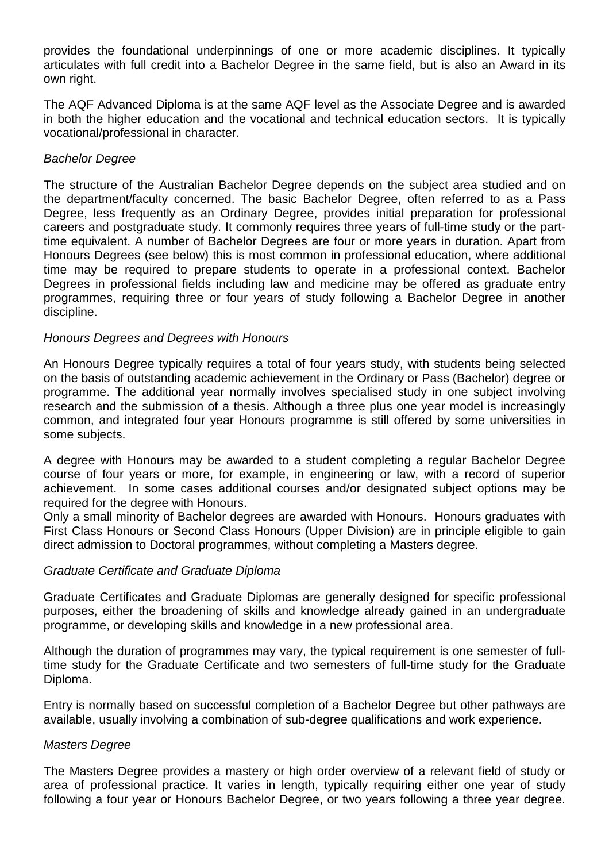provides the foundational underpinnings of one or more academic disciplines. It typically articulates with full credit into a Bachelor Degree in the same field, but is also an Award in its own right.

The AQF Advanced Diploma is at the same AQF level as the Associate Degree and is awarded in both the higher education and the vocational and technical education sectors. It is typically vocational/professional in character.

# Bachelor Degree

The structure of the Australian Bachelor Degree depends on the subject area studied and on the department/faculty concerned. The basic Bachelor Degree, often referred to as a Pass Degree, less frequently as an Ordinary Degree, provides initial preparation for professional careers and postgraduate study. It commonly requires three years of full-time study or the parttime equivalent. A number of Bachelor Degrees are four or more years in duration. Apart from Honours Degrees (see below) this is most common in professional education, where additional time may be required to prepare students to operate in a professional context. Bachelor Degrees in professional fields including law and medicine may be offered as graduate entry programmes, requiring three or four years of study following a Bachelor Degree in another discipline.

# Honours Degrees and Degrees with Honours

An Honours Degree typically requires a total of four years study, with students being selected on the basis of outstanding academic achievement in the Ordinary or Pass (Bachelor) degree or programme. The additional year normally involves specialised study in one subject involving research and the submission of a thesis. Although a three plus one year model is increasingly common, and integrated four year Honours programme is still offered by some universities in some subjects.

A degree with Honours may be awarded to a student completing a regular Bachelor Degree course of four years or more, for example, in engineering or law, with a record of superior achievement. In some cases additional courses and/or designated subject options may be required for the degree with Honours.

Only a small minority of Bachelor degrees are awarded with Honours. Honours graduates with First Class Honours or Second Class Honours (Upper Division) are in principle eligible to gain direct admission to Doctoral programmes, without completing a Masters degree.

# Graduate Certificate and Graduate Diploma

Graduate Certificates and Graduate Diplomas are generally designed for specific professional purposes, either the broadening of skills and knowledge already gained in an undergraduate programme, or developing skills and knowledge in a new professional area.

Although the duration of programmes may vary, the typical requirement is one semester of fulltime study for the Graduate Certificate and two semesters of full-time study for the Graduate Diploma.

Entry is normally based on successful completion of a Bachelor Degree but other pathways are available, usually involving a combination of sub-degree qualifications and work experience.

# Masters Degree

The Masters Degree provides a mastery or high order overview of a relevant field of study or area of professional practice. It varies in length, typically requiring either one year of study following a four year or Honours Bachelor Degree, or two years following a three year degree.